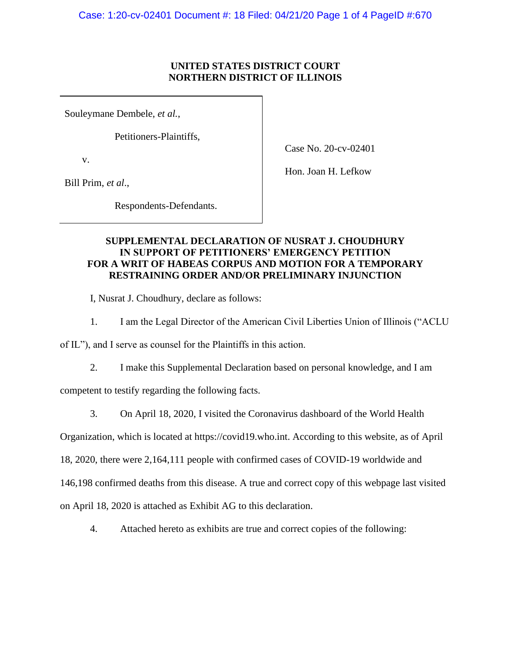#### **UNITED STATES DISTRICT COURT NORTHERN DISTRICT OF ILLINOIS**

Souleymane Dembele, *et al.*,

Petitioners-Plaintiffs,

v.

Bill Prim, *et al*.,

Hon. Joan H. Lefkow

Case No. 20-cv-02401

Respondents-Defendants.

## **SUPPLEMENTAL DECLARATION OF NUSRAT J. CHOUDHURY IN SUPPORT OF PETITIONERS' EMERGENCY PETITION FOR A WRIT OF HABEAS CORPUS AND MOTION FOR A TEMPORARY RESTRAINING ORDER AND/OR PRELIMINARY INJUNCTION**

I, Nusrat J. Choudhury, declare as follows:

1. I am the Legal Director of the American Civil Liberties Union of Illinois ("ACLU

of IL"), and I serve as counsel for the Plaintiffs in this action.

2. I make this Supplemental Declaration based on personal knowledge, and I am

competent to testify regarding the following facts.

3. On April 18, 2020, I visited the Coronavirus dashboard of the World Health

Organization, which is located at [https://covid19.who.int.](https://covid19.who.int/) According to this website, as of April

18, 2020, there were 2,164,111 people with confirmed cases of COVID-19 worldwide and

146,198 confirmed deaths from this disease. A true and correct copy of this webpage last visited

on April 18, 2020 is attached as Exhibit AG to this declaration.

4. Attached hereto as exhibits are true and correct copies of the following: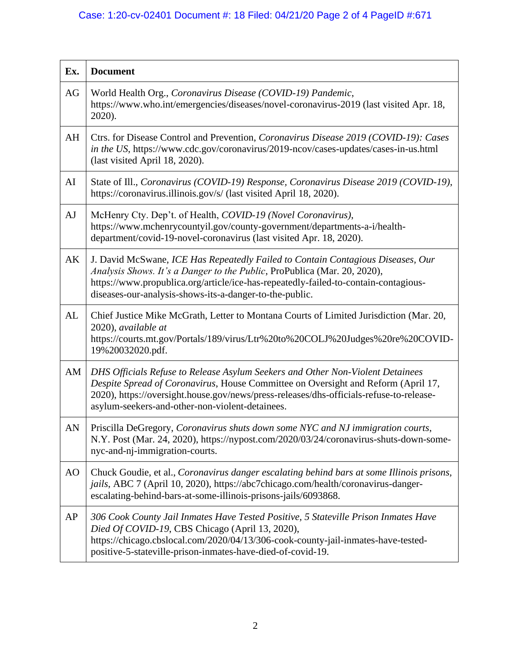# Case: 1:20-cv-02401 Document #: 18 Filed: 04/21/20 Page 2 of 4 PageID #:671

| Ex. | <b>Document</b>                                                                                                                                                                                                                                                                                                   |
|-----|-------------------------------------------------------------------------------------------------------------------------------------------------------------------------------------------------------------------------------------------------------------------------------------------------------------------|
| AG  | World Health Org., Coronavirus Disease (COVID-19) Pandemic,<br>https://www.who.int/emergencies/diseases/novel-coronavirus-2019 (last visited Apr. 18,<br>2020).                                                                                                                                                   |
| AH  | Ctrs. for Disease Control and Prevention, Coronavirus Disease 2019 (COVID-19): Cases<br>in the US, https://www.cdc.gov/coronavirus/2019-ncov/cases-updates/cases-in-us.html<br>(last visited April 18, 2020).                                                                                                     |
| AI  | State of Ill., Coronavirus (COVID-19) Response, Coronavirus Disease 2019 (COVID-19),<br>https://coronavirus.illinois.gov/s/ (last visited April 18, 2020).                                                                                                                                                        |
| AJ  | McHenry Cty. Dep't. of Health, COVID-19 (Novel Coronavirus),<br>https://www.mchenrycountyil.gov/county-government/departments-a-i/health-<br>department/covid-19-novel-coronavirus (last visited Apr. 18, 2020).                                                                                                  |
| AK  | J. David McSwane, ICE Has Repeatedly Failed to Contain Contagious Diseases, Our<br>Analysis Shows. It's a Danger to the Public, ProPublica (Mar. 20, 2020),<br>https://www.propublica.org/article/ice-has-repeatedly-failed-to-contain-contagious-<br>diseases-our-analysis-shows-its-a-danger-to-the-public.     |
| AL  | Chief Justice Mike McGrath, Letter to Montana Courts of Limited Jurisdiction (Mar. 20,<br>2020), available at<br>https://courts.mt.gov/Portals/189/virus/Ltr%20to%20COLJ%20Judges%20re%20COVID-<br>19%20032020.pdf.                                                                                               |
| AM  | DHS Officials Refuse to Release Asylum Seekers and Other Non-Violent Detainees<br>Despite Spread of Coronavirus, House Committee on Oversight and Reform (April 17,<br>2020), https://oversight.house.gov/news/press-releases/dhs-officials-refuse-to-release-<br>asylum-seekers-and-other-non-violent-detainees. |
| AN  | Priscilla DeGregory, Coronavirus shuts down some NYC and NJ immigration courts,<br>N.Y. Post (Mar. 24, 2020), https://nypost.com/2020/03/24/coronavirus-shuts-down-some-<br>nyc-and-nj-immigration-courts.                                                                                                        |
| AO  | Chuck Goudie, et al., Coronavirus danger escalating behind bars at some Illinois prisons,<br>jails, ABC 7 (April 10, 2020), https://abc7chicago.com/health/coronavirus-danger-<br>escalating-behind-bars-at-some-illinois-prisons-jails/6093868.                                                                  |
| AP  | 306 Cook County Jail Inmates Have Tested Positive, 5 Stateville Prison Inmates Have<br>Died Of COVID-19, CBS Chicago (April 13, 2020),<br>https://chicago.cbslocal.com/2020/04/13/306-cook-county-jail-inmates-have-tested-<br>positive-5-stateville-prison-inmates-have-died-of-covid-19.                        |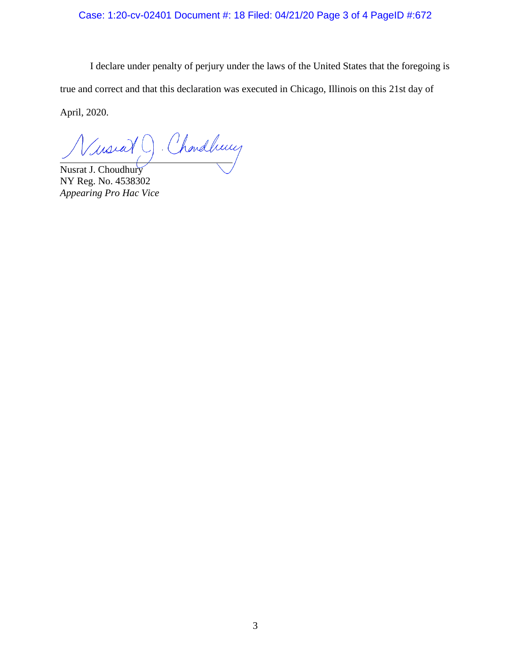## Case: 1:20-cv-02401 Document #: 18 Filed: 04/21/20 Page 3 of 4 PageID #:672

I declare under penalty of perjury under the laws of the United States that the foregoing is true and correct and that this declaration was executed in Chicago, Illinois on this 21st day of April, 2020.

Chardbury mora

Nusrat J. Choudhury NY Reg. No. 4538302 *Appearing Pro Hac Vice*